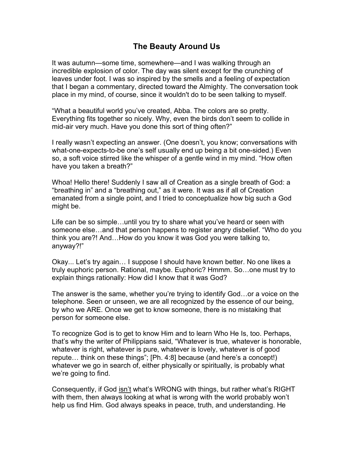## **The Beauty Around Us**

It was autumn—some time, somewhere—and I was walking through an incredible explosion of color. The day was silent except for the crunching of leaves under foot. I was so inspired by the smells and a feeling of expectation that I began a commentary, directed toward the Almighty. The conversation took place in my mind, of course, since it wouldn't do to be seen talking to myself.

"What a beautiful world you've created, Abba. The colors are so pretty. Everything fits together so nicely. Why, even the birds don't seem to collide in mid-air very much. Have you done this sort of thing often?"

I really wasn't expecting an answer. (One doesn't, you know; conversations with what-one-expects-to-be one's self usually end up being a bit one-sided.) Even so, a soft voice stirred like the whisper of a gentle wind in my mind. "How often have you taken a breath?"

Whoa! Hello there! Suddenly I saw all of Creation as a single breath of God: a "breathing in" and a "breathing out," as it were. It was as if all of Creation emanated from a single point, and I tried to conceptualize how big such a God might be.

Life can be so simple…until you try to share what you've heard or seen with someone else…and that person happens to register angry disbelief. "Who do you think you are?! And…How do you know it was God you were talking to, anyway?!"

Okay... Let's try again… I suppose I should have known better. No one likes a truly euphoric person. Rational, maybe. Euphoric? Hmmm. So…one must try to explain things rationally: How did I know that it was God?

The answer is the same, whether you're trying to identify God…or a voice on the telephone. Seen or unseen, we are all recognized by the essence of our being, by who we ARE. Once we get to know someone, there is no mistaking that person for someone else.

To recognize God is to get to know Him and to learn Who He Is, too. Perhaps, that's why the writer of Philippians said, "Whatever is true, whatever is honorable, whatever is right, whatever is pure, whatever is lovely, whatever is of good repute… think on these things"; [Ph. 4:8] because (and here's a concept!) whatever we go in search of, either physically or spiritually, is probably what we're going to find.

Consequently, if God isn't what's WRONG with things, but rather what's RIGHT with them, then always looking at what is wrong with the world probably won't help us find Him. God always speaks in peace, truth, and understanding. He